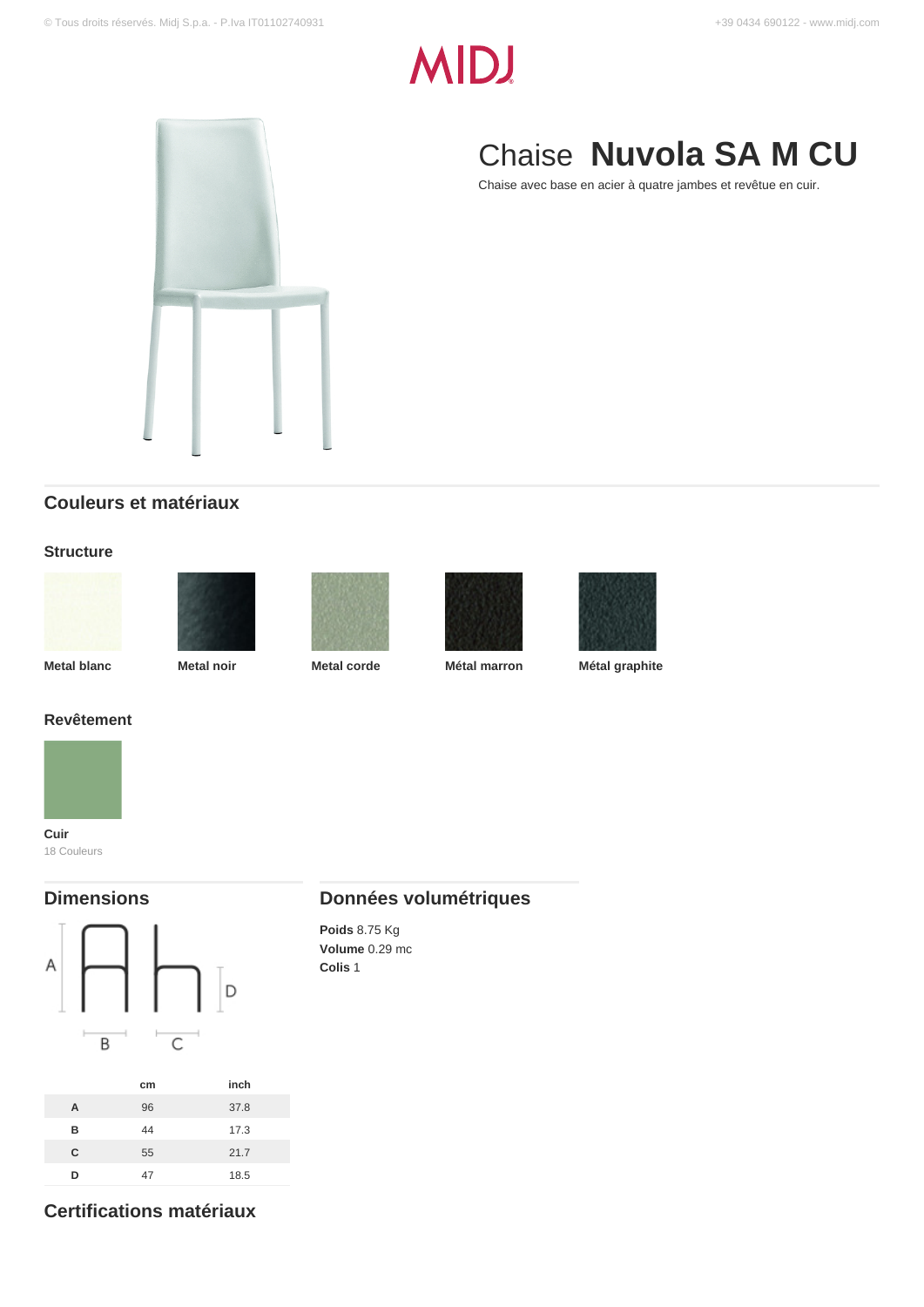# **MIDJ**



# Chaise **Nuvola SA M CU**

Chaise avec base en acier à quatre jambes et revêtue en cuir.

### **Couleurs et matériaux**

#### **Structure**









**Metal blanc Metal noir Metal corde Métal marron Métal graphite**



## **Revêtement**



18 Couleurs

### **Dimensions**



### **Données volumétriques**

**Poids** 8.75 Kg **Volume** 0.29 mc **Colis** 1

**Certifications matériaux**

**C** 55 21.7 **D** 47 18.5